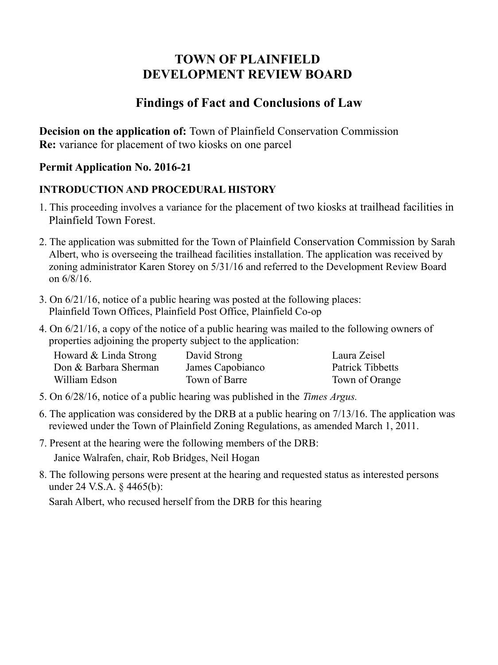# **TOWN OF PLAINFIELD DEVELOPMENT REVIEW BOARD**

## **Findings of Fact and Conclusions of Law**

**Decision on the application of:** Town of Plainfield Conservation Commission **Re:** variance for placement of two kiosks on one parcel

### **Permit Application No. 2016-21**

### **INTRODUCTION AND PROCEDURAL HISTORY**

- 1. This proceeding involves a variance for the placement of two kiosks at trailhead facilities in Plainfield Town Forest.
- 2. The application was submitted for the Town of Plainfield Conservation Commission by Sarah Albert, who is overseeing the trailhead facilities installation. The application was received by zoning administrator Karen Storey on 5/31/16 and referred to the Development Review Board on 6/8/16.
- 3. On 6/21/16, notice of a public hearing was posted at the following places: Plainfield Town Offices, Plainfield Post Office, Plainfield Co-op
- 4. On 6/21/16, a copy of the notice of a public hearing was mailed to the following owners of properties adjoining the property subject to the application:

| Howard & Linda Strong | David Strong     | Laura Zeisel     |
|-----------------------|------------------|------------------|
| Don & Barbara Sherman | James Capobianco | Patrick Tibbetts |
| William Edson         | Town of Barre    | Town of Orange   |

- 5. On 6/28/16, notice of a public hearing was published in the *Times Argus.*
- 6. The application was considered by the DRB at a public hearing on 7/13/16. The application was reviewed under the Town of Plainfield Zoning Regulations, as amended March 1, 2011.
- 7. Present at the hearing were the following members of the DRB: Janice Walrafen, chair, Rob Bridges, Neil Hogan
- 8. The following persons were present at the hearing and requested status as interested persons under 24 V.S.A. § 4465(b):

Sarah Albert, who recused herself from the DRB for this hearing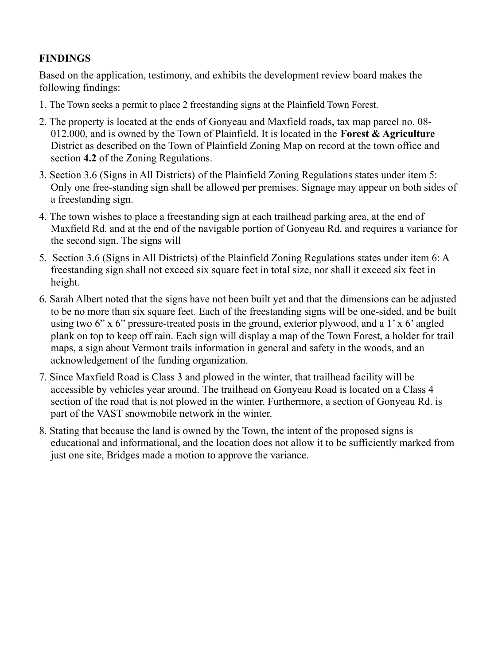#### **FINDINGS**

Based on the application, testimony, and exhibits the development review board makes the following findings:

- 1. The Town seeks a permit to place 2 freestanding signs at the Plainfield Town Forest.
- 2. The property is located at the ends of Gonyeau and Maxfield roads, tax map parcel no. 08- 012.000, and is owned by the Town of Plainfield. It is located in the **Forest & Agriculture** District as described on the Town of Plainfield Zoning Map on record at the town office and section **4.2** of the Zoning Regulations.
- 3. Section 3.6 (Signs in All Districts) of the Plainfield Zoning Regulations states under item 5: Only one free-standing sign shall be allowed per premises. Signage may appear on both sides of a freestanding sign.
- 4. The town wishes to place a freestanding sign at each trailhead parking area, at the end of Maxfield Rd. and at the end of the navigable portion of Gonyeau Rd. and requires a variance for the second sign. The signs will
- 5. Section 3.6 (Signs in All Districts) of the Plainfield Zoning Regulations states under item 6: A freestanding sign shall not exceed six square feet in total size, nor shall it exceed six feet in height.
- 6. Sarah Albert noted that the signs have not been built yet and that the dimensions can be adjusted to be no more than six square feet. Each of the freestanding signs will be one-sided, and be built using two 6" x 6" pressure-treated posts in the ground, exterior plywood, and a 1' x 6' angled plank on top to keep off rain. Each sign will display a map of the Town Forest, a holder for trail maps, a sign about Vermont trails information in general and safety in the woods, and an acknowledgement of the funding organization.
- 7. Since Maxfield Road is Class 3 and plowed in the winter, that trailhead facility will be accessible by vehicles year around. The trailhead on Gonyeau Road is located on a Class 4 section of the road that is not plowed in the winter. Furthermore, a section of Gonyeau Rd. is part of the VAST snowmobile network in the winter.
- 8. Stating that because the land is owned by the Town, the intent of the proposed signs is educational and informational, and the location does not allow it to be sufficiently marked from just one site, Bridges made a motion to approve the variance.